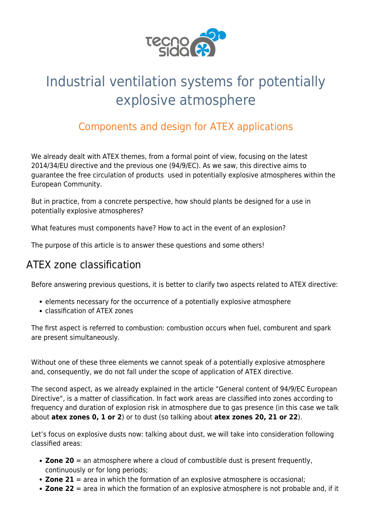

# Industrial ventilation systems for potentially explosive atmosphere

# Components and design for ATEX applications

We already dealt with [ATEX](https://www.tecnosida.com/eu-directive-atex-34-2014) themes, from a formal point of view, focusing on the latest [2014/34/EU](https://www.tecnosida.com/eu-directive-atex-34-2014) directive and the previous one ([94/9/EC](https://www.tecnosida.com/atex-equipment-use-in-explosive-areas/)). As we saw, this directive aims to guarantee the free circulation of products used in potentially explosive atmospheres within the European Community.

But in practice, from a concrete perspective, how should plants be designed for a use in [potentially explosive atmospheres](https://www.tecnosida.com/eu-directive-atex-34-2014)?

What features must components have? How to act in the event of an explosion?

The purpose of this article is to answer these questions and some others!

# ATEX zone classification

Before answering previous questions, it is better to clarify two aspects related to [ATEX directive:](https://www.tecnosida.com/eu-directive-atex-34-2014)

- elements necessary for the occurrence of a potentially explosive atmosphere
- classification of ATEX zones

The first aspect is referred to combustion: combustion occurs when fuel, comburent and spark are present simultaneously.

Without one of these three elements we cannot speak of a potentially explosive atmosphere and, consequently, we do not fall under the scope of application of ATEX directive.

The second aspect, as we already explained in the article ["General content of 94/9/EC European](https://www.tecnosida.com/atex-equipment-use-in-explosive-areas/) [Directive"](https://www.tecnosida.com/atex-equipment-use-in-explosive-areas/), is a matter of classification. In fact work areas are classified into zones according to frequency and duration of [explosion risk](https://www.tecnosida.com/eu-directive-atex-34-2014) in atmosphere due to [gas](https://www.tecnosida.com/acid-gases-nox-sox-h2s-hcl) presence (in this case we talk about **atex zones 0, 1 or 2**) or to [dust](https://www.tecnosida.com/dust-collection-particulate-physical-properties) (so talking about **atex zones 20, 21 or 22**).

Let's focus on [explosive dusts](https://www.tecnosida.com/explosive-dust-extraction-atex) now: talking about [dust](https://www.tecnosida.com/dust-collection-filters), we will take into consideration following classified areas:

- **Zone 20** = an atmosphere where a cloud of combustible dust is present frequently, continuously or for long periods;
- **Zone 21** = area in which the formation of an explosive atmosphere is occasional;
- **Zone 22** = area in which the formation of an explosive atmosphere is not probable and, if it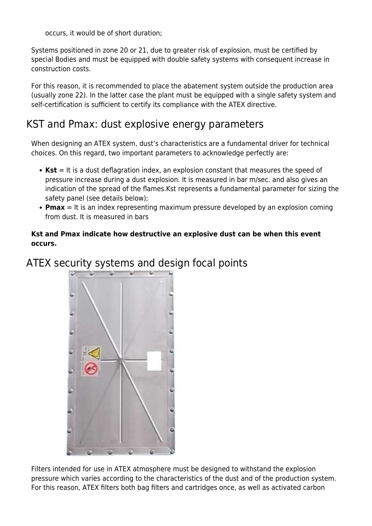occurs, it would be of short duration;

Systems positioned in zone 20 or 21, due to greater risk of [explosion,](https://www.tecnosida.com/eu-directive-atex-34-2014) must be certified by special Bodies and must be equipped with double safety systems with consequent increase in construction costs.

For this reason, it is recommended to place the abatement system outside the production area (usually zone 22). In the latter case the plant must be equipped with a single safety system and self-certification is sufficient to certify its compliance with the [ATEX directive.](https://www.tecnosida.com/eu-directive-atex-34-2014)

### KST and Pmax: dust explosive energy parameters

When designing an ATEX system, [dust](https://www.tecnosida.com/dust-collection-filters)'s characteristics are a fundamental driver for technical choices. On this regard, two important parameters to acknowledge perfectly are:

- Kst = It is a dust deflagration index, an explosion constant that measures the speed of pressure increase during a dust explosion. It is measured in bar m/sec. and also gives an indication of the spread of the flames.Kst represents a fundamental parameter for sizing the safety panel (see details below);
- **Pmax** = It is an index representing maximum pressure developed by an explosion coming from dust. It is measured in bars

#### **Kst and Pmax indicate how destructive an explosive dust can be when this event occurs.**

ATEX security systems and design focal points



[Filters](https://www.tecnosida.com/54/industrial-air-filtration-systems) intended for use in ATEX atmosphere must be designed to withstand the explosion pressure which varies according to the characteristics of the dust and of the production system. For this reason, ATEX filters both [bag filters](https://www.tecnosida.com/atex-bag-filter) and [cartridges](https://www.tecnosida.com/industrial-cartridge-filters) once, as well as [activated carbon](https://www.tecnosida.com/activated-carbon-filter)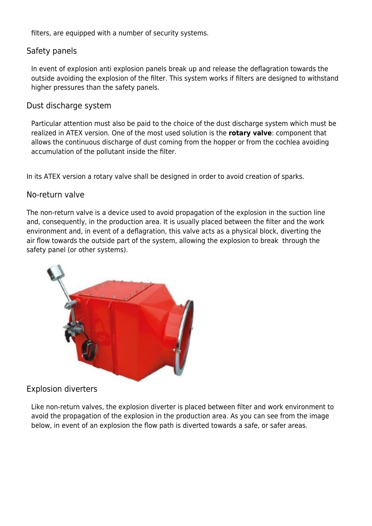[filters,](https://www.tecnosida.com/activated-carbon-filter) are equipped with a number of security systems.

#### Safety panels

In event of explosion anti explosion panels break up and release the deflagration towards the outside avoiding the explosion of the filter. This system works if filters are designed to withstand higher pressures than the safety panels.

#### Dust discharge system

Particular attention must also be paid to the choice of the dust discharge system which must be realized in ATEX version. One of the most used solution is the **rotary valve**: component that allows the continuous discharge of [dust](https://www.tecnosida.com/dust-collection-filters) coming from the hopper or from the cochlea avoiding accumulation of the pollutant inside the filter.

In its ATEX version a rotary valve shall be designed in order to avoid creation of sparks.

#### No-return valve

The non-return valve is a device used to avoid propagation of the explosion in the suction line and, consequently, in the production area. It is usually placed between the [filter](https://www.tecnosida.com/bag-filter) and the work environment and, in event of a [deflagration](https://www.tecnosida.com/eu-directive-atex-34-2014), this valve acts as a physical block, diverting the air flow towards the outside part of the system, allowing the explosion to break through the safety panel (or other systems).



#### Explosion diverters

Like non-return valves, the explosion diverter is placed between filter and work environment to avoid the propagation of the explosion in the production area. As you can see from the image below, in event of an explosion the flow path is diverted towards a safe, or safer areas.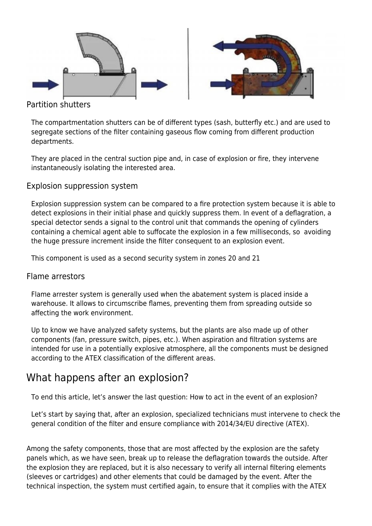

#### Partition shutters

The compartmentation shutters can be of different types (sash, butterfly etc.) and are used to segregate sections of the filter containing gaseous flow coming from different production departments.

They are placed in the central suction pipe and, in case of explosion or fire, they intervene instantaneously isolating the interested area.

#### Explosion suppression system

Explosion suppression system can be compared to a fire protection system because it is able to detect explosions in their initial phase and quickly suppress them. In event of a deflagration, a special detector sends a signal to the control unit that commands the opening of cylinders containing a chemical agent able to suffocate the explosion in a few milliseconds, so avoiding the huge pressure increment inside the filter consequent to an [explosion event.](https://www.tecnosida.com/eu-directive-atex-34-2014)

This component is used as a second security system in zones 20 and 21

#### Flame arrestors

Flame arrester system is generally used when the abatement system is placed inside a warehouse. It allows to circumscribe flames, preventing them from spreading outside so affecting the work environment.

Up to know we have analyzed safety systems, but the plants are also made up of other [components](https://www.tecnosida.com/54/industrial-air-filtration-systems?IDF=5647) ([fan,](https://www.tecnosida.com/industrial-fans-blowers) pressure switch, pipes, etc.). When [aspiration and filtration systems](https://www.tecnosida.com/54/industrial-air-filtration-systems) are intended for use in a potentially explosive atmosphere, all the components must be designed according to the ATEX classification of the different areas.

## What happens after an explosion?

To end this article, let's answer the last question: How to act in the event of an explosion?

Let's start by saying that, after an explosion, specialized technicians must intervene to check the general condition of the filter and ensure compliance with [2014/34/EU](https://www.tecnosida.com/eu-directive-atex-34-2014) directive (ATEX).

Among the safety components, those that are most affected by the explosion are the safety panels which, as we have seen, break up to release the deflagration towards the outside. After the explosion they are replaced, but it is also necessary to verify all internal [filtering elements](https://www.tecnosida.com/comparison-bag-filter-or-cartridge-filter) [\(sleeves](https://www.tecnosida.com/bag-filter) or [cartridges\)](https://www.tecnosida.com/industrial-cartridge-filters) and other elements that could be damaged by the event. After the [technical inspection,](https://www.tecnosida.com/1101/services-and-consulting-for-the-environment) the system must certified again, to ensure that it complies with the ATEX